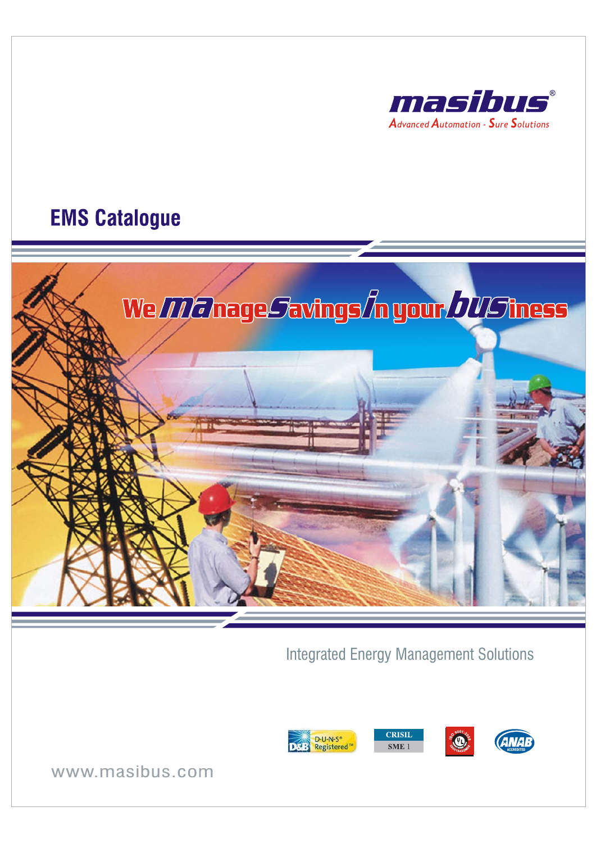

# **EMS Catalogue**



Integrated Energy Management Solutions



www.masibus.com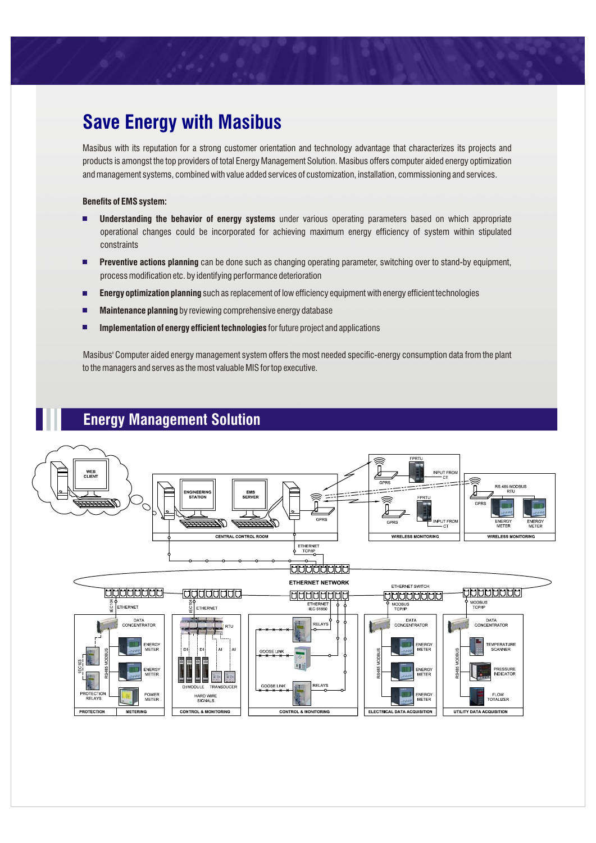# **Save Energy with Masibus**

Masibus with its reputation for a strong customer orientation and technology advantage that characterizes its projects and products is amongst the top providers of total Energy Management Solution. Masibus offers computer aided energy optimization and management systems, combined with value added services of customization, installation, commissioning and services.

#### **Benefits of EMS system:**

- **Understanding the behavior of energy systems** under various operating parameters based on which appropriate п operational changes could be incorporated for achieving maximum energy efficiency of system within stipulated constraints
- **Preventive actions planning** can be done such as changing operating parameter, switching over to stand-by equipment, process modification etc. by identifying performance deterioration
- **Energy optimization planning** such as replacement of low efficiency equipment with energy efficient technologies
- **Maintenance planning** by reviewing comprehensive energy database
- **Implementation of energy efficient technologies** for future project and applications

Masibus' Computer aided energy management system offers the most needed specific-energy consumption data from the plant to the managers and serves as the most valuable MIS for top executive.

## **Energy Management Solution**

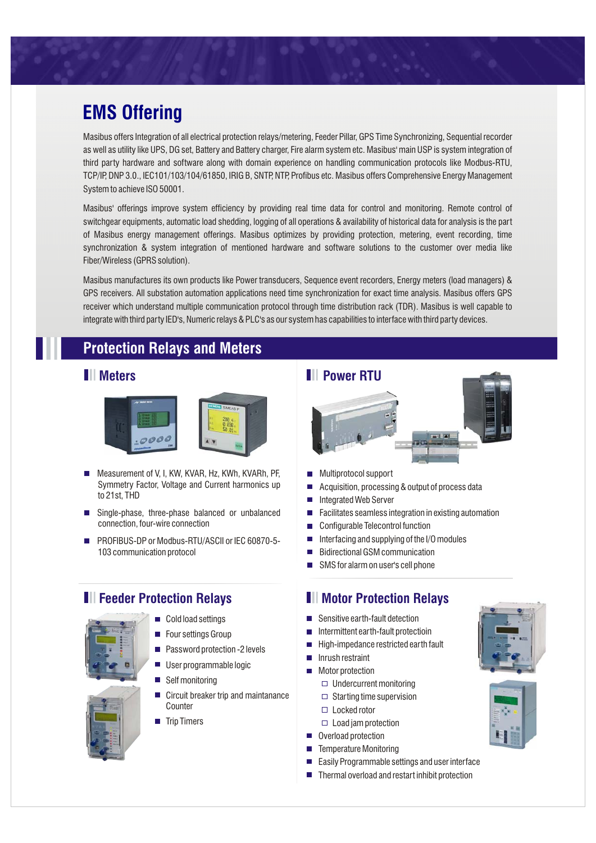# **EMS Offering**

Masibus offers Integration of all electrical protection relays/metering, Feeder Pillar, GPS Time Synchronizing, Sequential recorder as well as utility like UPS, DG set, Battery and Battery charger, Fire alarm system etc. Masibus' main USP is system integration of third party hardware and software along with domain experience on handling communication protocols like Modbus-RTU, TCP/IP, DNP 3.0., IEC101/103/104/61850, IRIG B, SNTP, NTP, Profibus etc. Masibus offers Comprehensive Energy Management System to achieve ISO 50001.

Masibus' offerings improve system efficiency by providing real time data for control and monitoring. Remote control of switchgear equipments, automatic load shedding, logging of all operations & availability of historical data for analysis is the part of Masibus energy management offerings. Masibus optimizes by providing protection, metering, event recording, time synchronization & system integration of mentioned hardware and software solutions to the customer over media like Fiber/Wireless (GPRS solution).

Masibus manufactures its own products like Power transducers, Sequence event recorders, Energy meters (load managers) & GPS receivers. All substation automation applications need time synchronization for exact time analysis. Masibus offers GPS receiver which understand multiple communication protocol through time distribution rack (TDR). Masibus is well capable to integrate with third party IED's, Numeric relays & PLC's as our system has capabilities to interface with third party devices.

## **Protection Relays and Meters**

#### **Meters**



- Symmetry Factor, Voltage and Current harmonics up to 21st, THD Measurement of V, I, KW, KVAR, Hz, KWh, KVARh, PF,
- Single-phase, three-phase balanced or unbalanced connection, four-wire connection
- PROFIBUS-DP or Modbus-RTU/ASCII or IEC 60870-5- 103 communication protocol

#### **FREEDER Protection Relays**

- Cold load settings
	- **Four settings Group**
	- Password protection -2 levels
	- User programmable logic
	- Self monitoring
	- Ē Circuit breaker trip and maintanance **Counter**
	- П Trip Timers

## **FILL** Power RTU



- Multiprotocol support
- Acquisition, processing & output of process data
- Integrated Web Server
- $\blacksquare$  Facilitates seamless integration in existing automation
- Configurable Telecontrol function
- $\blacksquare$  Interfacing and supplying of the I/O modules
- Bidirectional GSM communication
- F SMS for alarm on user's cell phone

#### **Motor Protection Relays**

- Sensitive earth-fault detection  $\overline{\phantom{a}}$
- Intermittent earth-fault protectioin
- High-impedance restricted earth fault  $\overline{\phantom{a}}$
- Inrush restraint  $\overline{\phantom{a}}$
- Motor protection
	- $\Box$  Undercurrent monitoring
	- $\Box$  Starting time supervision
	- □ Locked rotor
	- $\Box$  Load jam protection
- Overload protection
- Temperature Monitoring  $\overline{\phantom{a}}$
- Easily Programmable settings and user interface
- Thermal overload and restart inhibit protection